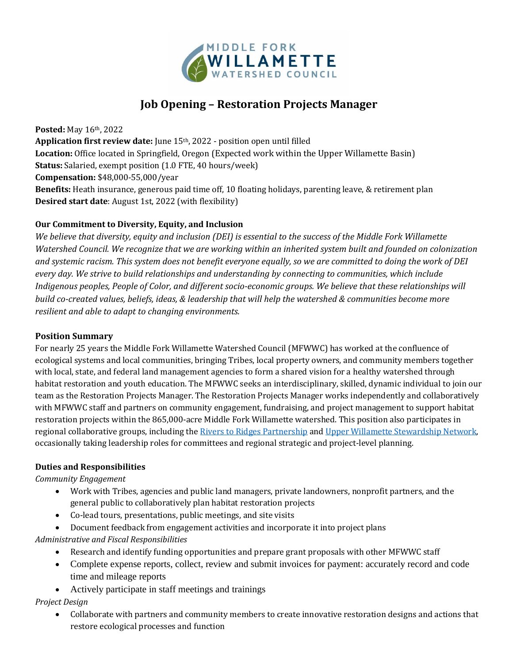

# **Job Opening – Restoration Projects Manager**

**Posted:** May 16th, 2022 **Application first review date:** June 15th, 2022 - position open until filled **Location:** Office located in Springfield, Oregon (Expected work within the Upper Willamette Basin) **Status:** Salaried, exempt position (1.0 FTE, 40 hours/week) **Compensation:** \$48,000-55,000/year **Benefits:** Heath insurance, generous paid time off, 10 floating holidays, parenting leave, & retirement plan **Desired start date**: August 1st, 2022 (with flexibility)

## **Our Commitment to Diversity, Equity, and Inclusion**

*We believe that diversity, equity and inclusion (DEI) is essential to the success of the Middle Fork Willamette Watershed Council. We recognize that we are working within an inherited system built and founded on colonization and systemic racism. This system does not benefit everyone equally, so we are committed to doing the work of DEI every day. We strive to build relationships and understanding by connecting to communities, which include Indigenous peoples, People of Color, and different socio-economic groups. We believe that these relationships will build co-created values, beliefs, ideas, & leadership that will help the watershed & communities become more resilient and able to adapt to changing environments.*

#### **Position Summary**

For nearly 25 years the Middle Fork Willamette Watershed Council (MFWWC) has worked at the confluence of ecological systems and local communities, bringing Tribes, local property owners, and community members together with local, state, and federal land management agencies to form a shared vision for a healthy watershed through habitat restoration and youth education. The MFWWC seeks an interdisciplinary, skilled, dynamic individual to join our team as the Restoration Projects Manager. The Restoration Projects Manager works independently and collaboratively with MFWWC staff and partners on community engagement, fundraising, and project management to support habitat restoration projects within the 865,000-acre Middle Fork Willamette watershed. This position also participates in regional collaborative groups, including the Rivers to Ridges Partnership and Upper Willamette Stewardship Network, occasionally taking leadership roles for committees and regional strategic and project-level planning.

#### **Duties and Responsibilities**

#### *Community Engagement*

- Work with Tribes, agencies and public land managers, private landowners, nonprofit partners, and the general public to collaboratively plan habitat restoration projects
- Co-lead tours, presentations, public meetings, and site visits
- Document feedback from engagement activities and incorporate it into project plans
- *Administrative and Fiscal Responsibilities*
	- Research and identify funding opportunities and prepare grant proposals with other MFWWC staff
	- Complete expense reports, collect, review and submit invoices for payment: accurately record and code time and mileage reports
	- Actively participate in staff meetings and trainings

#### *Project Design*

 Collaborate with partners and community members to create innovative restoration designs and actions that restore ecological processes and function